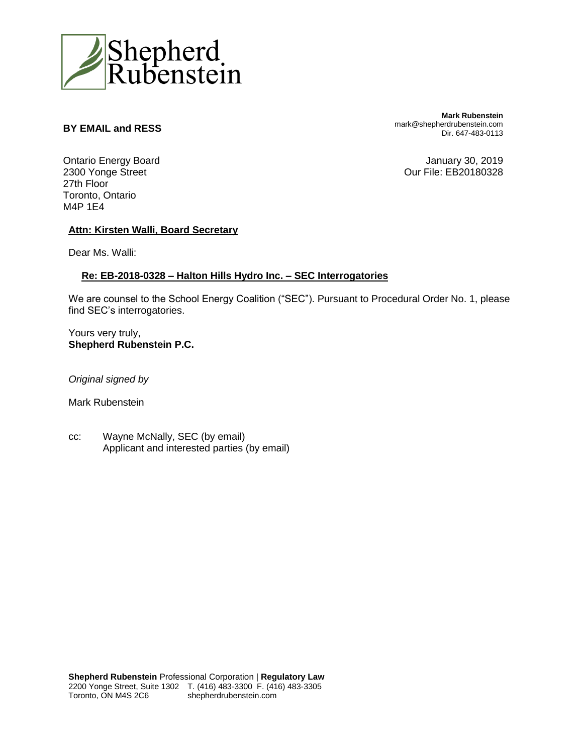

## **BY EMAIL and RESS**

**Mark Rubenstein** mark@shepherdrubenstein.com Dir. 647-483-0113

Ontario Energy Board 2300 Yonge Street 27th Floor Toronto, Ontario M4P 1E4

January 30, 2019 Our File: EB20180328

#### **Attn: Kirsten Walli, Board Secretary**

Dear Ms. Walli:

#### **Re: EB-2018-0328 – Halton Hills Hydro Inc. – SEC Interrogatories**

We are counsel to the School Energy Coalition ("SEC"). Pursuant to Procedural Order No. 1, please find SEC's interrogatories.

Yours very truly, **Shepherd Rubenstein P.C.**

*Original signed by*

Mark Rubenstein

cc: Wayne McNally, SEC (by email) Applicant and interested parties (by email)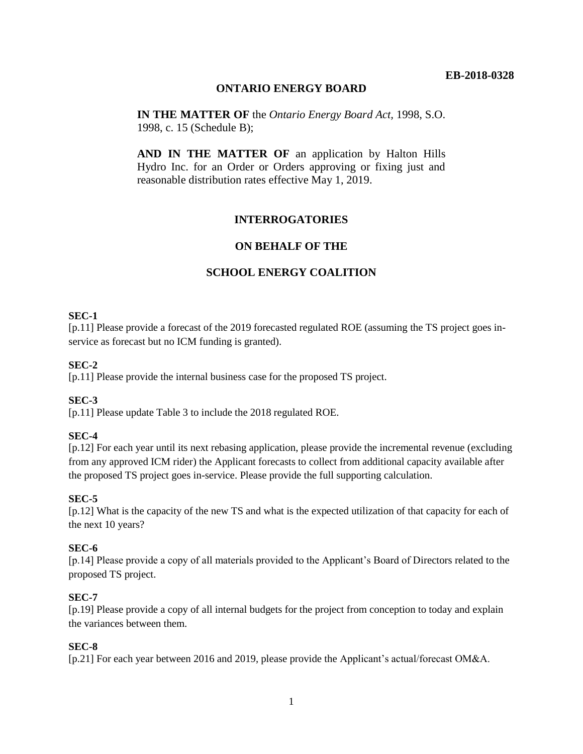# **ONTARIO ENERGY BOARD**

**IN THE MATTER OF** the *Ontario Energy Board Act,* 1998, S.O. 1998, c. 15 (Schedule B);

**AND IN THE MATTER OF** an application by Halton Hills Hydro Inc. for an Order or Orders approving or fixing just and reasonable distribution rates effective May 1, 2019.

# **INTERROGATORIES**

# **ON BEHALF OF THE**

# **SCHOOL ENERGY COALITION**

## **SEC-1**

[p.11] Please provide a forecast of the 2019 forecasted regulated ROE (assuming the TS project goes inservice as forecast but no ICM funding is granted).

#### **SEC-2**

[p.11] Please provide the internal business case for the proposed TS project.

#### **SEC-3**

[p.11] Please update Table 3 to include the 2018 regulated ROE.

#### **SEC-4**

[p.12] For each year until its next rebasing application, please provide the incremental revenue (excluding from any approved ICM rider) the Applicant forecasts to collect from additional capacity available after the proposed TS project goes in-service. Please provide the full supporting calculation.

#### **SEC-5**

[p.12] What is the capacity of the new TS and what is the expected utilization of that capacity for each of the next 10 years?

#### **SEC-6**

[p.14] Please provide a copy of all materials provided to the Applicant's Board of Directors related to the proposed TS project.

#### **SEC-7**

[p.19] Please provide a copy of all internal budgets for the project from conception to today and explain the variances between them.

#### **SEC-8**

[p.21] For each year between 2016 and 2019, please provide the Applicant's actual/forecast OM&A.